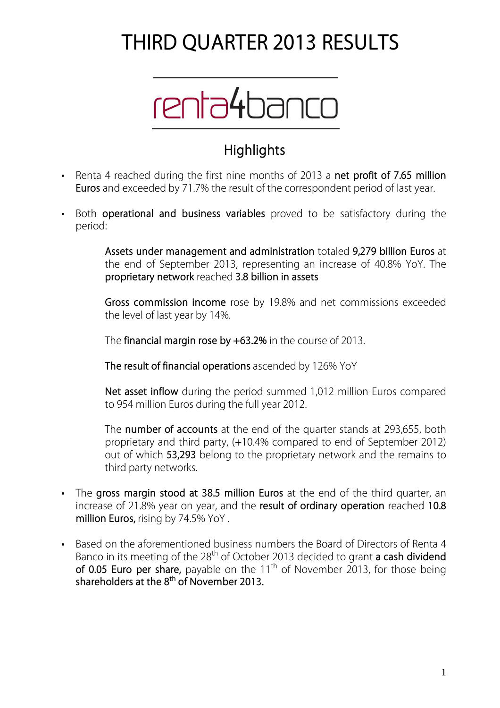# **THIRD QUARTER 2013 RESULTS**



## **Highlights**

- Renta 4 reached during the first nine months of 2013 a **net profit of 7.65 million Euros** and exceeded by 71.7% the result of the correspondent period of last year.
- Both **operational and business variables** proved to be satisfactory during the period:

**Assets under management and administration** totaled **9,279 billion Euros** at the end of September 2013, representing an increase of 40.8% YoY. The **proprietary network** reached **3.8 billion in assets**

**Gross commission income** rose by 19.8% and net commissions exceeded the level of last year by 14%.

The **financial margin rose by +63.2%** in the course of 2013.

**The result of financial operations** ascended by 126% YoY

**Net asset inflow** during the period summed 1,012 million Euros compared to 954 million Euros during the full year 2012.

The **number of accounts** at the end of the quarter stands at 293,655, both proprietary and third party, (+10.4% compared to end of September 2012) out of which **53,293** belong to the proprietary network and the remains to third party networks.

- The **gross margin stood at 38.5 million Euros** at the end of the third quarter, an increase of 21.8% year on year, and the **result of ordinary operation** reached **10.8 million Euros,** rising by 74.5% YoY .
- Based on the aforementioned business numbers the Board of Directors of Renta 4 Banco in its meeting of the 28th of October 2013 decided to grant **a cash dividend**  of 0.05 Euro per share, payable on the 11<sup>th</sup> of November 2013, for those being **shareholders at the 8th of November 2013.**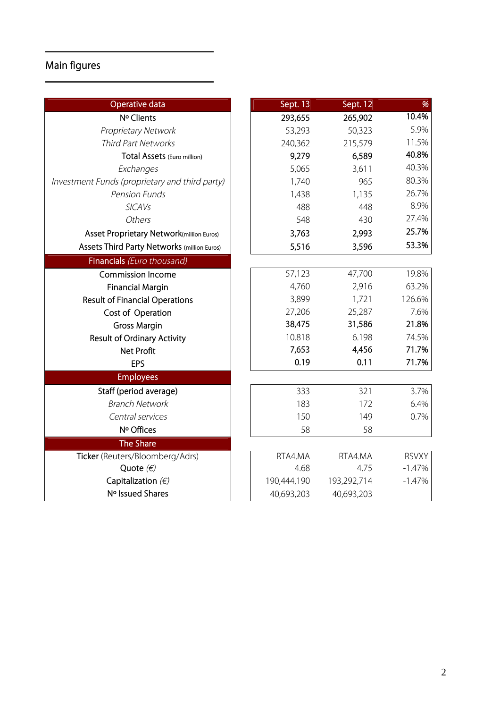## **Main figures**

| <b>Operative data</b>                          | Sept. 13    | Sept. 12    | %            |
|------------------------------------------------|-------------|-------------|--------------|
| Nº Clients                                     | 293,655     | 265,902     | 10.4%        |
| Proprietary Network                            | 53,293      | 50,323      | 5.9%         |
| Third Part Networks                            | 240,362     | 215,579     | 11.5%        |
| Total Assets (Euro million)                    | 9,279       | 6,589       | 40.8%        |
| Exchanges                                      | 5,065       | 3,611       | 40.3%        |
| Investment Funds (proprietary and third party) | 1,740       | 965         | 80.3%        |
| <b>Pension Funds</b>                           | 1,438       | 1,135       | 26.7%        |
| <b>SICAVs</b>                                  | 488         | 448         | 8.9%         |
| Others                                         | 548         | 430         | 27.4%        |
| Asset Proprietary Network(million Euros)       | 3,763       | 2,993       | 25.7%        |
| Assets Third Party Networks (million Euros)    | 5,516       | 3,596       | 53.3%        |
| Financials (Euro thousand)                     |             |             |              |
| <b>Commission Income</b>                       | 57,123      | 47,700      | 19.8%        |
| <b>Financial Margin</b>                        | 4,760       | 2,916       | 63.2%        |
| <b>Result of Financial Operations</b>          | 3,899       | 1,721       | 126.6%       |
| Cost of Operation                              | 27,206      | 25,287      | 7.6%         |
| <b>Gross Margin</b>                            | 38,475      | 31,586      | 21.8%        |
| <b>Result of Ordinary Activity</b>             | 10.818      | 6.198       | 74.5%        |
| <b>Net Profit</b>                              | 7,653       | 4,456       | 71.7%        |
| EPS                                            | 0.19        | 0.11        | 71.7%        |
| <b>Employees</b>                               |             |             |              |
| Staff (period average)                         | 333         | 321         | 3.7%         |
| <b>Branch Network</b>                          | 183         | 172         | 6.4%         |
| Central services                               | 150         | 149         | 0.7%         |
| Nº Offices                                     | 58          | 58          |              |
| <b>The Share</b>                               |             |             |              |
| Ticker (Reuters/Bloomberg/Adrs)                | RTA4.MA     | RTA4.MA     | <b>RSVXY</b> |
| Quote $(\epsilon)$                             | 4.68        | 4.75        | $-1.47%$     |
| Capitalization $(\epsilon)$                    | 190,444,190 | 193,292,714 | $-1.47%$     |
| Nº Issued Shares                               | 40,693,203  | 40,693,203  |              |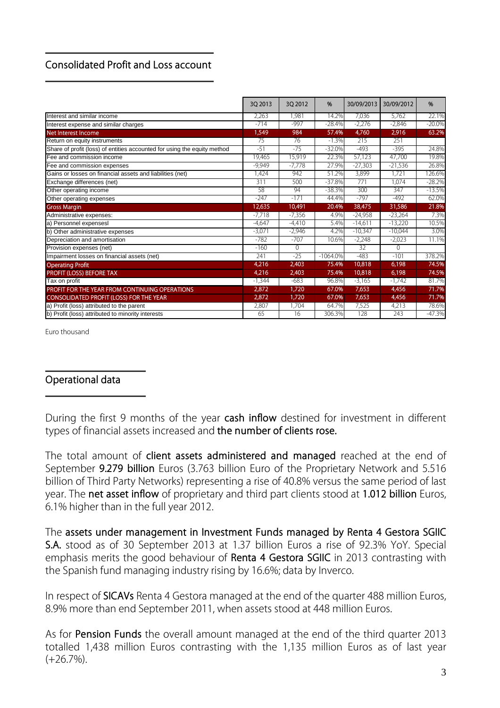### **Consolidated Profit and Loss account**

|                                                                          | 3Q 2013  | 30 2012  | %           | 30/09/2013 | 30/09/2012 | %         |
|--------------------------------------------------------------------------|----------|----------|-------------|------------|------------|-----------|
| Interest and similar income                                              | 2,263    | 1.981    | 14.2%       | 7,036      | 5,762      | 22.1%     |
| Interest expense and similar charges                                     | $-714$   | $-997$   | $-28.4%$    | $-2,276$   | $-2,846$   | $-20.0\%$ |
| <b>Net Interest Income</b>                                               | 1,549    | 984      | 57.4%       | 4,760      | 2,916      | 63.2%     |
| Return on equity instruments                                             | 75       | 76       | $-1.3%$     | 215        | 251        |           |
| Share of profit (loss) of entities accounted for using the equity method | $-51$    | $-75$    | $-32.0%$    | $-493$     | $-395$     | 24.8%     |
| Fee and commission income                                                | 19,465   | 15,919   | 22.3%       | 57,123     | 47,700     | 19.8%     |
| Fee and commission expenses                                              | $-9,949$ | $-7,778$ | 27.9%       | $-27,303$  | $-21,536$  | 26.8%     |
| Gains or losses on financial assets and liabilities (net)                | ,424     | 942      | 51.2%       | 3,899      | 1,721      | 126.6%    |
| Exchange differences (net)                                               | 311      | 500      | $-37.8%$    | 771        | 1.074      | $-28.2%$  |
| Other operating income                                                   | 58       | 94       | $-38.3%$    | 300        | 347        | $-13.5%$  |
| Other operating expenses                                                 | $-247$   | $-171$   | 44.4%       | $-797$     | $-492$     | 62.0%     |
| <b>Gross Margin</b>                                                      | 12,635   | 10,491   | 20.4%       | 38,475     | 31,586     | 21.8%     |
| Administrative expenses:                                                 | $-7.718$ | $-7,356$ | 4.9%        | $-24,958$  | -23,264    | 7.3%      |
| a) Personnel expensesl                                                   | $-4.647$ | $-4.410$ | 5.4%        | $-14,611$  | $-13.220$  | 10.5%     |
| b) Other administrative expenses                                         | $-3,071$ | $-2,946$ | 4.2%        | $-10,347$  | $-10,044$  | 3.0%      |
| Depreciation and amortisation                                            | $-782$   | $-707$   | 10.6%       | $-2,248$   | $-2,023$   | 11.1%     |
| Provision expenses (net)                                                 | $-160$   | $\Omega$ |             | 32         | $\Omega$   |           |
| Impairment losses on financial assets (net)                              | 241      | $-25$    | $-1064.0\%$ | $-483$     | $-101$     | 378.2%    |
| <b>Operating Profit</b>                                                  | 4,216    | 2,403    | 75.4%       | 10,818     | 6,198      | 74.5%     |
| PROFIT (LOSS) BEFORE TAX                                                 | 4,216    | 2,403    | 75.4%       | 10,818     | 6,198      | 74.5%     |
| Tax on profit                                                            | $-1,344$ | $-683$   | 96.8%       | $-3,165$   | $-1,742$   | 81.7%     |
| PROFIT FOR THE YEAR FROM CONTINUING OPERATIONS                           | 2,872    | 1,720    | 67.0%       | 7,653      | 4,456      | 71.7%     |
| CONSOLIDATED PROFIT (LOSS) FOR THE YEAR                                  | 2,872    | 1,720    | 67.0%       | 7,653      | 4,456      | 71.7%     |
| a) Profit (loss) attributed to the parent                                | 2,807    | 1,704    | 64.7%       | 7,525      | 4,213      | 78.6%     |
| b) Profit (loss) attributed to minority interests                        | 65       | 16       | 306.3%      | 128        | 243        | $-47.3%$  |

Euro thousand

#### **Operational data**

During the first 9 months of the year **cash inflow** destined for investment in different types of financial assets increased and **the number of clients rose.**

The total amount of **client assets administered and managed** reached at the end of September **9.279 billion** Euros (3.763 billion Euro of the Proprietary Network and 5.516 billion of Third Party Networks) representing a rise of 40.8% versus the same period of last year. The **net asset inflow** of proprietary and third part clients stood at **1.012 billion** Euros, 6.1% higher than in the full year 2012.

The **assets under management in Investment Funds managed by Renta 4 Gestora SGIIC S.A.** stood as of 30 September 2013 at 1.37 billion Euros a rise of 92.3% YoY. Special emphasis merits the good behaviour of **Renta 4 Gestora SGIIC** in 2013 contrasting with the Spanish fund managing industry rising by 16.6%; data by Inverco.

In respect of **SICAVs** Renta 4 Gestora managed at the end of the quarter 488 million Euros, 8.9% more than end September 2011, when assets stood at 448 million Euros.

As for **Pension Funds** the overall amount managed at the end of the third quarter 2013 totalled 1,438 million Euros contrasting with the 1,135 million Euros as of last year  $(+26.7\%)$ .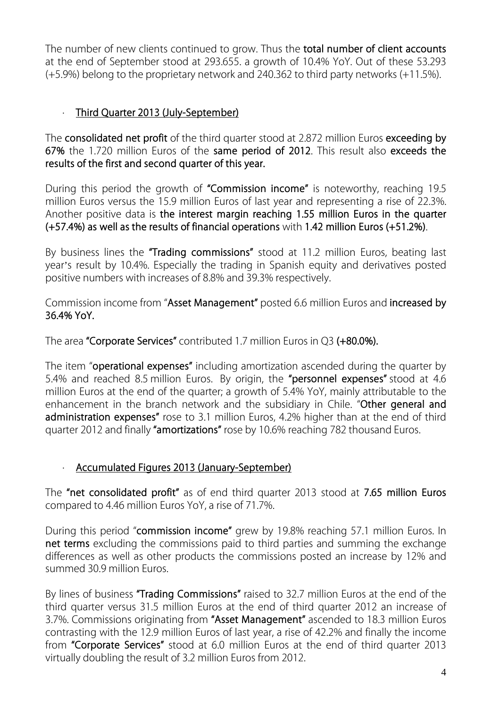The number of new clients continued to grow. Thus the **total number of client accounts**  at the end of September stood at 293.655. a growth of 10.4% YoY. Out of these 53.293 (+5.9%) belong to the proprietary network and 240.362 to third party networks (+11.5%).

#### · **Third Quarter 2013 (July-September)**

The **consolidated net profit** of the third quarter stood at 2.872 million Euros **exceeding by 67%** the 1.720 million Euros of the **same period of 2012**. This result also **exceeds the results of the first and second quarter of this year.** 

During this period the growth of **"Commission income"** is noteworthy, reaching 19.5 million Euros versus the 15.9 million Euros of last year and representing a rise of 22.3%. Another positive data is **the interest margin reaching 1.55 million Euros in the quarter (+57.4%) as well as the results of financial operations** with **1.42 million Euros (+51.2%)**.

By business lines the **"Trading commissions"** stood at 11.2 million Euros, beating last year's result by 10.4%. Especially the trading in Spanish equity and derivatives posted positive numbers with increases of 8.8% and 39.3% respectively.

Commission income from "**Asset Management"** posted 6.6 million Euros and **increased by 36.4% YoY.**

The area **"Corporate Services"** contributed 1.7 million Euros in Q3 **(+80.0%).** 

The item "**operational expenses"** including amortization ascended during the quarter by 5.4% and reached 8.5 million Euros. By origin, the **"personnel expenses"** stood at 4.6 million Euros at the end of the quarter; a growth of 5.4% YoY, mainly attributable to the enhancement in the branch network and the subsidiary in Chile. "**Other general and administration expenses"** rose to 3.1 million Euros, 4.2% higher than at the end of third quarter 2012 and finally **"amortizations"** rose by 10.6% reaching 782 thousand Euros.

#### · **Accumulated Figures 2013 (January-September)**

The **"net consolidated profit"** as of end third quarter 2013 stood at **7.65 million Euros** compared to 4.46 million Euros YoY, a rise of 71.7%.

During this period "**commission income"** grew by 19.8% reaching 57.1 million Euros. In **net terms** excluding the commissions paid to third parties and summing the exchange differences as well as other products the commissions posted an increase by 12% and summed 30.9 million Euros.

By lines of business **"Trading Commissions"** raised to 32.7 million Euros at the end of the third quarter versus 31.5 million Euros at the end of third quarter 2012 an increase of 3.7%. Commissions originating from **"Asset Management"** ascended to 18.3 million Euros contrasting with the 12.9 million Euros of last year, a rise of 42.2% and finally the income from **"Corporate Services"** stood at 6.0 million Euros at the end of third quarter 2013 virtually doubling the result of 3.2 million Euros from 2012.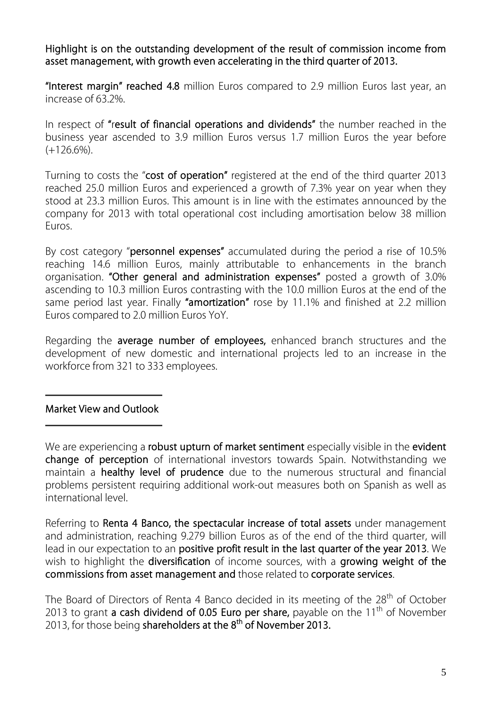**Highlight is on the outstanding development of the result of commission income from asset management, with growth even accelerating in the third quarter of 2013.** 

**"Interest margin" reached 4.8** million Euros compared to 2.9 million Euros last year, an increase of 63.2%.

In respect of **"**r**esult of financial operations and dividends"** the number reached in the business year ascended to 3.9 million Euros versus 1.7 million Euros the year before (+126.6%).

Turning to costs the "**cost of operation"** registered at the end of the third quarter 2013 reached 25.0 million Euros and experienced a growth of 7.3% year on year when they stood at 23.3 million Euros. This amount is in line with the estimates announced by the company for 2013 with total operational cost including amortisation below 38 million Euros.

By cost category "**personnel expenses"** accumulated during the period a rise of 10.5% reaching 14.6 million Euros, mainly attributable to enhancements in the branch organisation. **"Other general and administration expenses"** posted a growth of 3.0% ascending to 10.3 million Euros contrasting with the 10.0 million Euros at the end of the same period last year. Finally **"amortization"** rose by 11.1% and finished at 2.2 million Euros compared to 2.0 million Euros YoY.

Regarding the **average number of employees,** enhanced branch structures and the development of new domestic and international projects led to an increase in the workforce from 321 to 333 employees.

#### **Market View and Outlook**

Referring to **Renta 4 Banco, the spectacular increase of total assets** under management and administration, reaching 9.279 billion Euros as of the end of the third quarter, will lead in our expectation to an **positive profit result in the last quarter of the year 2013**. We wish to highlight the **diversification** of income sources, with a **growing weight of the commissions from asset management and** those related to **corporate services**.

The Board of Directors of Renta 4 Banco decided in its meeting of the 28<sup>th</sup> of October 2013 to grant **a cash dividend of 0.05 Euro per share,** payable on the 11<sup>th</sup> of November 2013, for those being **shareholders at the 8th of November 2013.** 

We are experiencing a **robust upturn of market sentiment** especially visible in the **evident change of perception** of international investors towards Spain. Notwithstanding we maintain a **healthy level of prudence** due to the numerous structural and financial problems persistent requiring additional work-out measures both on Spanish as well as international level.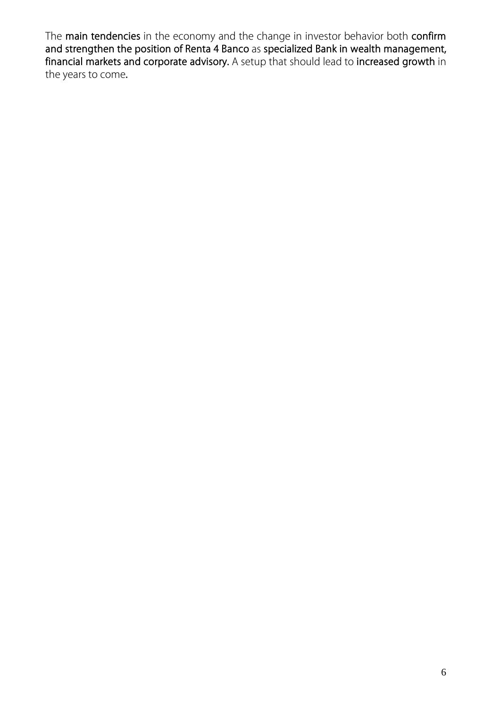The **main tendencies** in the economy and the change in investor behavior both **confirm and strengthen the position of Renta 4 Banco** as **specialized Bank in wealth management, financial markets and corporate advisory.** A setup that should lead to **increased growth** in the years to come**.**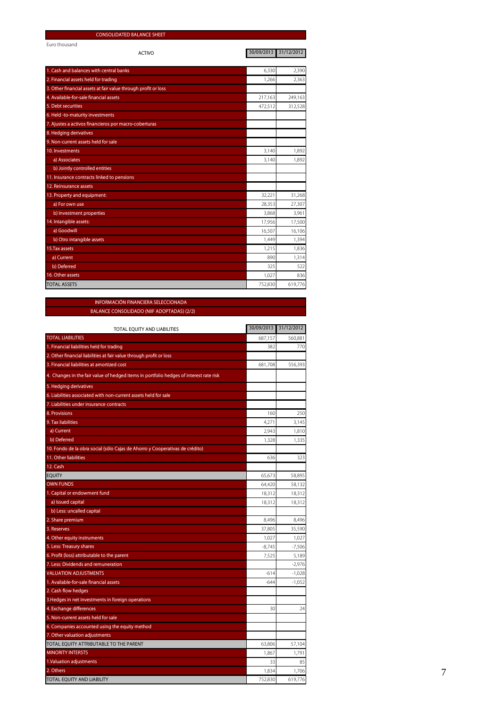| <b>CONSOLIDATED BALANCE SHEET</b>                              |                       |         |
|----------------------------------------------------------------|-----------------------|---------|
| Euro thousand                                                  | 30/09/2013 31/12/2012 |         |
| <b>ACTIVO</b>                                                  |                       |         |
| 1. Cash and balances with central banks                        | 6,330                 | 2,390   |
| 2. Financial assets held for trading                           | 1,266                 | 2,363   |
| 3. Other financial assets at fair value through profit or loss |                       |         |
| 4. Available-for-sale financial assets                         | 217,163               | 249,163 |
| 5. Debt securities                                             | 472,512               | 312,528 |
| 6. Held -to-maturity investments                               |                       |         |
| 7. Ajustes a activos financieros por macro-coberturas          |                       |         |
| 8. Hedging derivatives                                         |                       |         |
| 9. Non-current assets held for sale                            |                       |         |
| 10. Investments                                                | 3,140                 | 1,892   |
| a) Associates                                                  | 3,140                 | 1,892   |
| b) Jointly controlled entities                                 |                       |         |
| 11. Insurance contracts linked to pensions                     |                       |         |
| 12. Reinsurance assets                                         |                       |         |
| 13. Property and equipment:                                    | 32,221                | 31,268  |
| a) For own use                                                 | 28,353                | 27,307  |
| b) Investment properties                                       | 3,868                 | 3,961   |
| 14. Intangible assets:                                         | 17,956                | 17,500  |
| a) Goodwill                                                    | 16,507                | 16,106  |
| b) Otro intangible assets                                      | 1,449                 | 1,394   |
| 15. Tax assets                                                 | 1,215                 | 1,836   |
| a) Current                                                     | 890                   | 1,314   |
| b) Deferred                                                    | 325                   | 522     |
| 16. Other assets                                               | 1,027                 | 836     |
| <b>TOTAL ASSETS</b>                                            | 752,830               | 619,776 |

#### **INFORMACIÓN FINANCIERA SELECCIONADA BALANCE CONSOLIDADO (NIIF ADOPTADAS) (2/2)**

| TOTAL EQUITY AND LIABILITIES                                                           | 30/09/2013 | 31/12/2012 |
|----------------------------------------------------------------------------------------|------------|------------|
| <b>TOTAL LIABILITIES</b>                                                               | 687,157    | 560,881    |
| 1. Financial liabilities held for trading                                              | 382        | 770        |
| 2. Other financial liabilities at fair value through profit or loss                    |            |            |
| 3. Financial liabilities at amortized cost                                             | 681,708    | 556,393    |
| 4. Changes in the fair value of hedged items in portfolio hedges of interest rate risk |            |            |
| 5. Hedging derivatives                                                                 |            |            |
| 6. Liabilities associated with non-current assets held for sale                        |            |            |
| 7. Liabilities under insurance contracts                                               |            |            |
| 8. Provisions                                                                          | 160        | 250        |
| 9. Tax liabilities                                                                     | 4,271      | 3,145      |
| a) Current                                                                             | 2,943      | 1,810      |
| b) Deferred                                                                            | 1,328      | 1,335      |
| 10. Fondo de la obra social (sólo Cajas de Ahorro y Cooperativas de crédito)           |            |            |
| 11. Other liabilities                                                                  | 636        | 323        |
| 12. Cash                                                                               |            |            |
| <b>EQUITY</b>                                                                          | 65,673     | 58,895     |
| <b>OWN FUNDS</b>                                                                       | 64,420     | 58,132     |
| 1. Capital or endowment fund                                                           | 18,312     | 18,312     |
| a) Issued capital                                                                      | 18,312     | 18,312     |
| b) Less: uncalled capital                                                              |            |            |
| 2. Share premium                                                                       | 8,496      | 8,496      |
| 3. Reserves                                                                            | 37,805     | 35,590     |
| 4. Other equity instruments                                                            | 1,027      | 1,027      |
| 5. Less: Treasury shares                                                               | $-8,745$   | $-7,506$   |
| 6. Profit (loss) attributable to the parent                                            | 7,525      | 5,189      |
| 7. Less: Dividends and remuneration                                                    |            | $-2,976$   |
| VALUATION ADJUSTMENTS                                                                  | $-614$     | $-1,028$   |
| I. Available-for-sale financial assets                                                 | $-644$     | $-1,052$   |
| 2. Cash flow hedges                                                                    |            |            |
| 3. Hedges in net investments in foreign operations                                     |            |            |
| 4. Exchange differences                                                                | 30         | 74         |
| 5. Non-current assets held for sale                                                    |            |            |
| 6. Companies accounted using the equity method                                         |            |            |
| 7. Other valuation adjustments                                                         |            |            |
| TOTAL EQUITY ATTRIBUTABLE TO THE PARENT                                                | 63,806     | 57,104     |
| <b>MINORITY INTERSTS</b>                                                               | 1,867      | 1,791      |
| 1. Valuation adjustments                                                               | 33         | 85         |
| 2. Others                                                                              | 1,834      | 1,706      |
| TOTAL EQUITY AND LIABILITY                                                             | 752,830    | 619,776    |